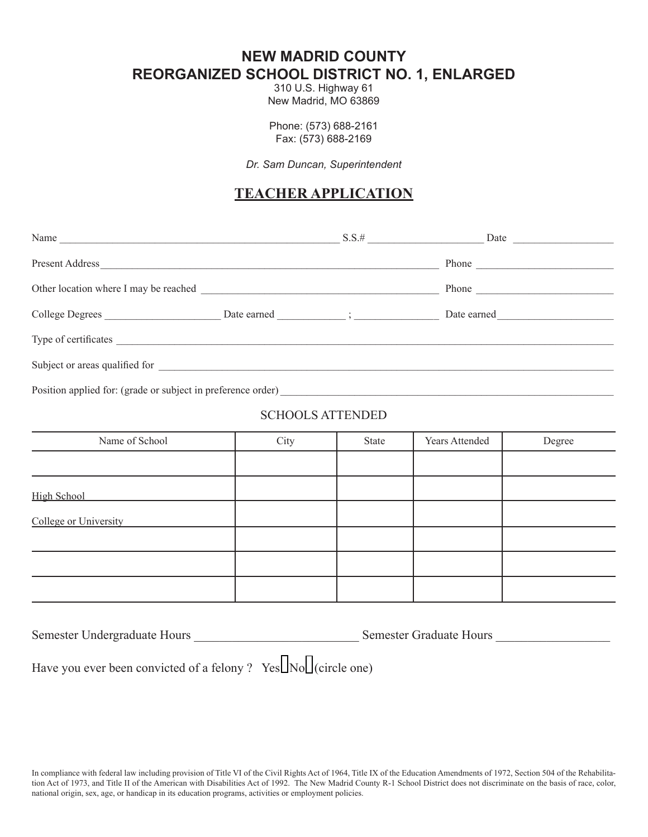**NEW MADRID COUNTY REORGANIZED SCHOOL DISTRICT NO. 1, ENLARGED**

310 U.S. Highway 61 New Madrid, MO 63869

Phone: (573) 688-2161 Fax: (573) 688-2169

*Dr. Sam Duncan, Superintendent*

## **TEACHER APPLICATION**

| Name and the same state of the same state of the same state of the same state of the same state of the same state of the same state of the same state of the same state of the same state of the same state of the same state  |                                             | $S.S.$ # | Date        |
|--------------------------------------------------------------------------------------------------------------------------------------------------------------------------------------------------------------------------------|---------------------------------------------|----------|-------------|
| Present Address and the contract of the contract of the contract of the contract of the contract of the contract of the contract of the contract of the contract of the contract of the contract of the contract of the contra |                                             |          | Phone       |
|                                                                                                                                                                                                                                |                                             |          | Phone       |
| College Degrees                                                                                                                                                                                                                | Date earned $\qquad \qquad ; \qquad \qquad$ |          | Date earned |
|                                                                                                                                                                                                                                |                                             |          |             |
|                                                                                                                                                                                                                                |                                             |          |             |
| Position applied for: (grade or subject in preference order)                                                                                                                                                                   |                                             |          |             |

## SCHOOLS ATTENDED

| Name of School        | City | State | Years Attended | Degree |
|-----------------------|------|-------|----------------|--------|
|                       |      |       |                |        |
| High School           |      |       |                |        |
| College or University |      |       |                |        |
|                       |      |       |                |        |
|                       |      |       |                |        |
|                       |      |       |                |        |

| Semester Undergraduate Hours | <b>Semester Graduate Hours</b> |  |
|------------------------------|--------------------------------|--|
|                              |                                |  |

Have you ever been convicted of a felony ? Yes  $\Box$  No  $\Box$  (circle one)

In compliance with federal law including provision of Title VI of the Civil Rights Act of 1964, Title IX of the Education Amendments of 1972, Section 504 of the Rehabilitation Act of 1973, and Title II of the American with Disabilities Act of 1992. The New Madrid County R-1 School District does not discriminate on the basis of race, color, national origin, sex, age, or handicap in its education programs, activities or employment policies.